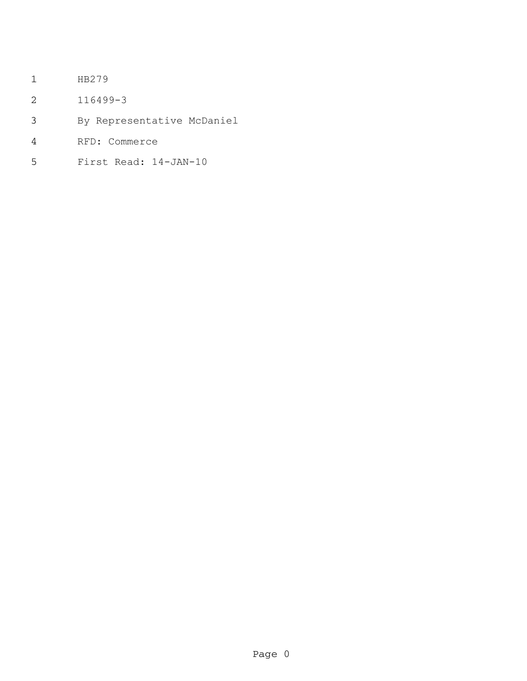- HB279
- 116499-3
- By Representative McDaniel
- RFD: Commerce
- First Read: 14-JAN-10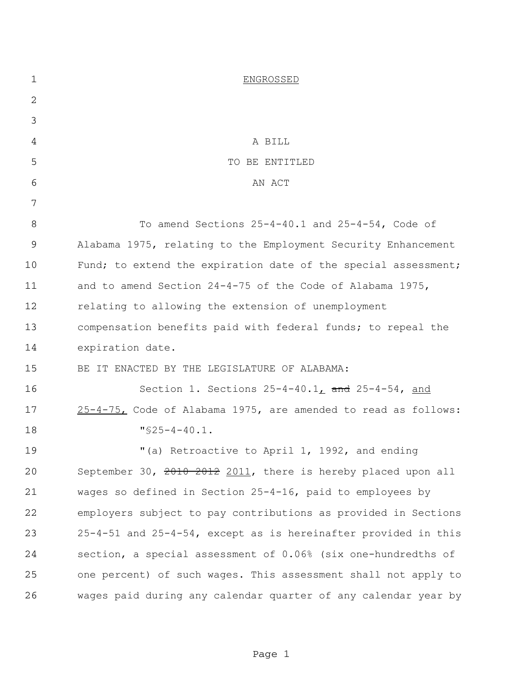| 1  | <b>ENGROSSED</b>                                                  |
|----|-------------------------------------------------------------------|
| 2  |                                                                   |
| 3  |                                                                   |
| 4  | A BILL                                                            |
| 5  | TO BE ENTITLED                                                    |
| 6  | AN ACT                                                            |
| 7  |                                                                   |
| 8  | To amend Sections $25-4-40.1$ and $25-4-54$ , Code of             |
| 9  | Alabama 1975, relating to the Employment Security Enhancement     |
| 10 | Fund; to extend the expiration date of the special assessment;    |
| 11 | and to amend Section 24-4-75 of the Code of Alabama 1975,         |
| 12 | relating to allowing the extension of unemployment                |
| 13 | compensation benefits paid with federal funds; to repeal the      |
| 14 | expiration date.                                                  |
| 15 | BE IT ENACTED BY THE LEGISLATURE OF ALABAMA:                      |
| 16 | Section 1. Sections $25-4-40.1$ and $25-4-54$ , and               |
| 17 | $25-4-75$ , Code of Alabama 1975, are amended to read as follows: |
| 18 | $"$ \$25-4-40.1.                                                  |
| 19 | "(a) Retroactive to April 1, 1992, and ending                     |
| 20 | September 30, 2010 2012 2011, there is hereby placed upon all     |
| 21 | wages so defined in Section 25-4-16, paid to employees by         |
| 22 | employers subject to pay contributions as provided in Sections    |
| 23 | 25-4-51 and 25-4-54, except as is hereinafter provided in this    |
| 24 | section, a special assessment of 0.06% (six one-hundredths of     |
| 25 | one percent) of such wages. This assessment shall not apply to    |
| 26 | wages paid during any calendar quarter of any calendar year by    |
|    |                                                                   |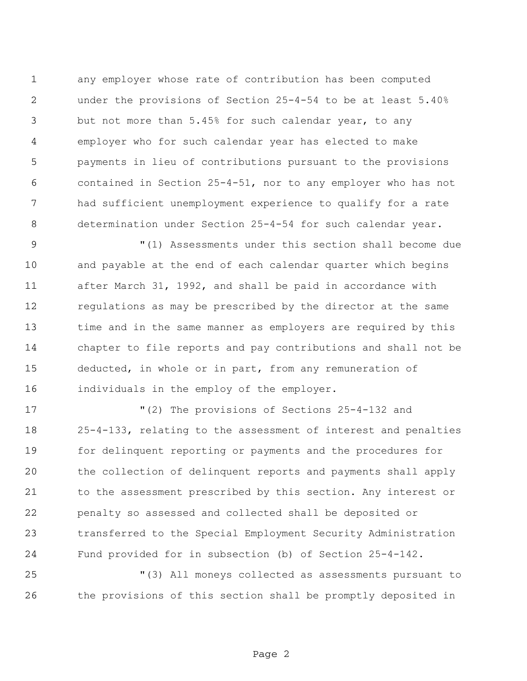any employer whose rate of contribution has been computed under the provisions of Section 25-4-54 to be at least 5.40% but not more than 5.45% for such calendar year, to any employer who for such calendar year has elected to make payments in lieu of contributions pursuant to the provisions contained in Section 25-4-51, nor to any employer who has not had sufficient unemployment experience to qualify for a rate determination under Section 25-4-54 for such calendar year.

 "(1) Assessments under this section shall become due and payable at the end of each calendar quarter which begins after March 31, 1992, and shall be paid in accordance with regulations as may be prescribed by the director at the same time and in the same manner as employers are required by this chapter to file reports and pay contributions and shall not be deducted, in whole or in part, from any remuneration of individuals in the employ of the employer.

 "(2) The provisions of Sections 25-4-132 and 25-4-133, relating to the assessment of interest and penalties for delinquent reporting or payments and the procedures for the collection of delinquent reports and payments shall apply to the assessment prescribed by this section. Any interest or penalty so assessed and collected shall be deposited or transferred to the Special Employment Security Administration Fund provided for in subsection (b) of Section 25-4-142.

 "(3) All moneys collected as assessments pursuant to the provisions of this section shall be promptly deposited in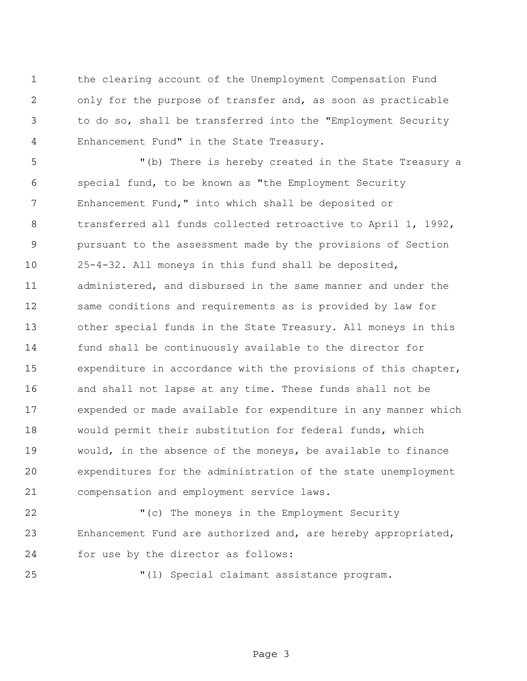the clearing account of the Unemployment Compensation Fund only for the purpose of transfer and, as soon as practicable to do so, shall be transferred into the "Employment Security Enhancement Fund" in the State Treasury.

 "(b) There is hereby created in the State Treasury a special fund, to be known as "the Employment Security Enhancement Fund," into which shall be deposited or transferred all funds collected retroactive to April 1, 1992, pursuant to the assessment made by the provisions of Section 25-4-32. All moneys in this fund shall be deposited, administered, and disbursed in the same manner and under the same conditions and requirements as is provided by law for other special funds in the State Treasury. All moneys in this fund shall be continuously available to the director for expenditure in accordance with the provisions of this chapter, and shall not lapse at any time. These funds shall not be expended or made available for expenditure in any manner which would permit their substitution for federal funds, which would, in the absence of the moneys, be available to finance expenditures for the administration of the state unemployment compensation and employment service laws.

 "(c) The moneys in the Employment Security Enhancement Fund are authorized and, are hereby appropriated, for use by the director as follows:

"(1) Special claimant assistance program.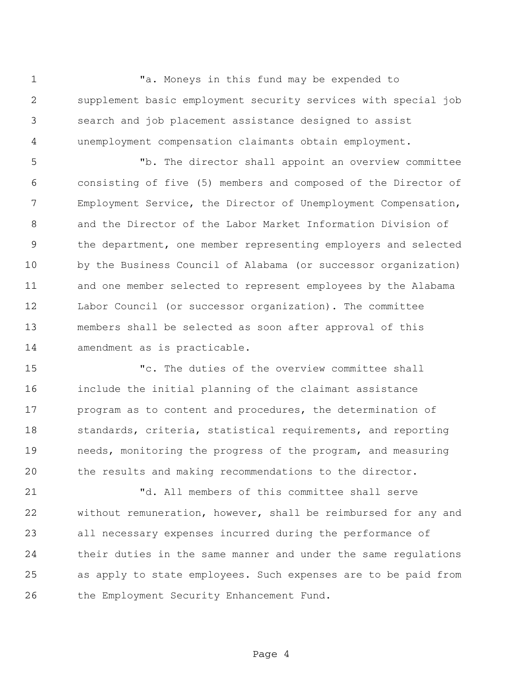1 The Moneys in this fund may be expended to supplement basic employment security services with special job search and job placement assistance designed to assist unemployment compensation claimants obtain employment.

 "b. The director shall appoint an overview committee consisting of five (5) members and composed of the Director of Employment Service, the Director of Unemployment Compensation, and the Director of the Labor Market Information Division of the department, one member representing employers and selected by the Business Council of Alabama (or successor organization) and one member selected to represent employees by the Alabama Labor Council (or successor organization). The committee members shall be selected as soon after approval of this amendment as is practicable.

 "c. The duties of the overview committee shall include the initial planning of the claimant assistance 17 program as to content and procedures, the determination of standards, criteria, statistical requirements, and reporting needs, monitoring the progress of the program, and measuring the results and making recommendations to the director.

 "d. All members of this committee shall serve without remuneration, however, shall be reimbursed for any and all necessary expenses incurred during the performance of their duties in the same manner and under the same regulations as apply to state employees. Such expenses are to be paid from the Employment Security Enhancement Fund.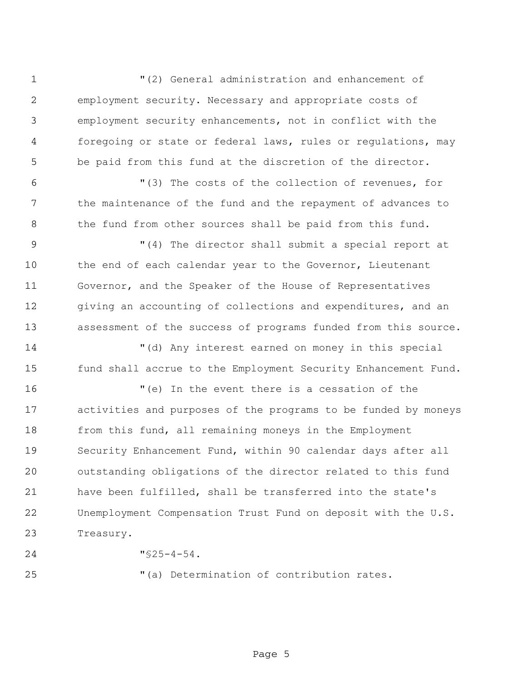"(2) General administration and enhancement of employment security. Necessary and appropriate costs of employment security enhancements, not in conflict with the 4 foregoing or state or federal laws, rules or regulations, may be paid from this fund at the discretion of the director.

 "(3) The costs of the collection of revenues, for the maintenance of the fund and the repayment of advances to the fund from other sources shall be paid from this fund.

 "(4) The director shall submit a special report at 10 the end of each calendar year to the Governor, Lieutenant Governor, and the Speaker of the House of Representatives 12 giving an accounting of collections and expenditures, and an assessment of the success of programs funded from this source.

 "(d) Any interest earned on money in this special fund shall accrue to the Employment Security Enhancement Fund.

 "(e) In the event there is a cessation of the activities and purposes of the programs to be funded by moneys from this fund, all remaining moneys in the Employment Security Enhancement Fund, within 90 calendar days after all outstanding obligations of the director related to this fund have been fulfilled, shall be transferred into the state's Unemployment Compensation Trust Fund on deposit with the U.S. Treasury.

"§25-4-54.

"(a) Determination of contribution rates.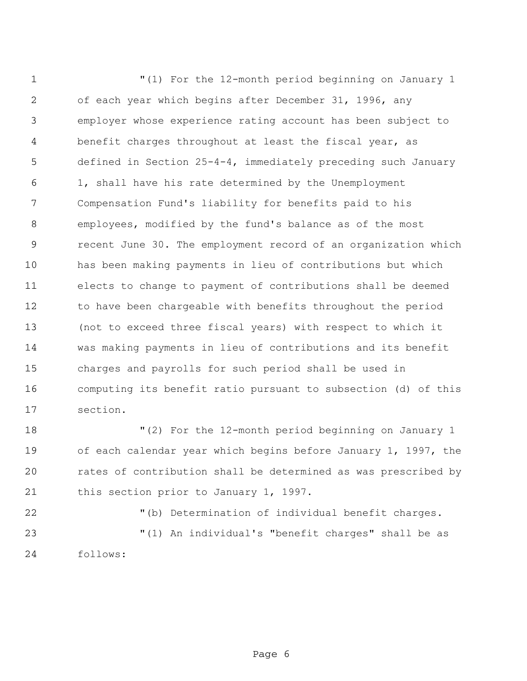"(1) For the 12-month period beginning on January 1 of each year which begins after December 31, 1996, any employer whose experience rating account has been subject to benefit charges throughout at least the fiscal year, as defined in Section 25-4-4, immediately preceding such January 1, shall have his rate determined by the Unemployment Compensation Fund's liability for benefits paid to his employees, modified by the fund's balance as of the most recent June 30. The employment record of an organization which has been making payments in lieu of contributions but which elects to change to payment of contributions shall be deemed to have been chargeable with benefits throughout the period (not to exceed three fiscal years) with respect to which it was making payments in lieu of contributions and its benefit charges and payrolls for such period shall be used in computing its benefit ratio pursuant to subsection (d) of this section.

 "(2) For the 12-month period beginning on January 1 of each calendar year which begins before January 1, 1997, the rates of contribution shall be determined as was prescribed by 21 this section prior to January 1, 1997.

 "(b) Determination of individual benefit charges. "(1) An individual's "benefit charges" shall be as follows: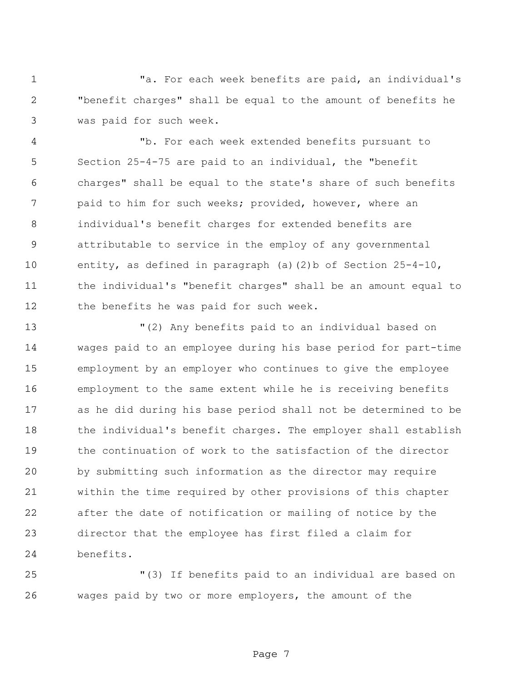1 The Matter of the Meek benefits are paid, an individual's "benefit charges" shall be equal to the amount of benefits he was paid for such week.

 "b. For each week extended benefits pursuant to Section 25-4-75 are paid to an individual, the "benefit charges" shall be equal to the state's share of such benefits paid to him for such weeks; provided, however, where an individual's benefit charges for extended benefits are attributable to service in the employ of any governmental entity, as defined in paragraph (a)(2)b of Section 25-4-10, the individual's "benefit charges" shall be an amount equal to the benefits he was paid for such week.

 "(2) Any benefits paid to an individual based on wages paid to an employee during his base period for part-time employment by an employer who continues to give the employee employment to the same extent while he is receiving benefits as he did during his base period shall not be determined to be the individual's benefit charges. The employer shall establish the continuation of work to the satisfaction of the director by submitting such information as the director may require within the time required by other provisions of this chapter after the date of notification or mailing of notice by the director that the employee has first filed a claim for benefits.

 "(3) If benefits paid to an individual are based on wages paid by two or more employers, the amount of the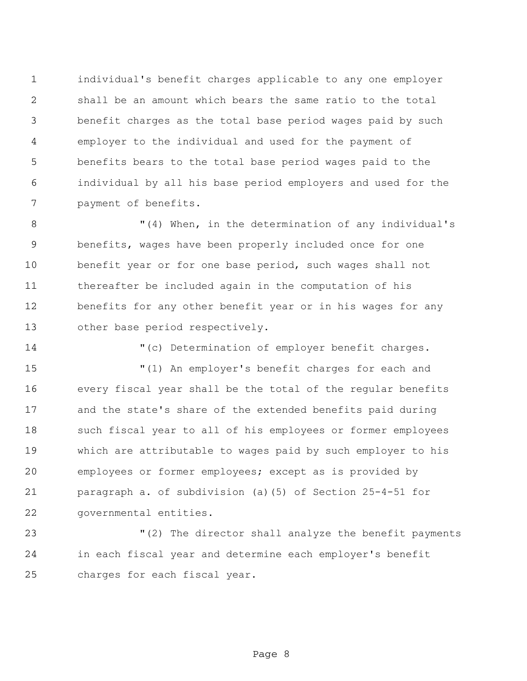individual's benefit charges applicable to any one employer shall be an amount which bears the same ratio to the total benefit charges as the total base period wages paid by such employer to the individual and used for the payment of benefits bears to the total base period wages paid to the individual by all his base period employers and used for the payment of benefits.

8 The U (4) When, in the determination of any individual's benefits, wages have been properly included once for one benefit year or for one base period, such wages shall not thereafter be included again in the computation of his benefits for any other benefit year or in his wages for any other base period respectively.

"(c) Determination of employer benefit charges.

 "(1) An employer's benefit charges for each and every fiscal year shall be the total of the regular benefits and the state's share of the extended benefits paid during such fiscal year to all of his employees or former employees which are attributable to wages paid by such employer to his employees or former employees; except as is provided by paragraph a. of subdivision (a)(5) of Section 25-4-51 for governmental entities.

 "(2) The director shall analyze the benefit payments in each fiscal year and determine each employer's benefit charges for each fiscal year.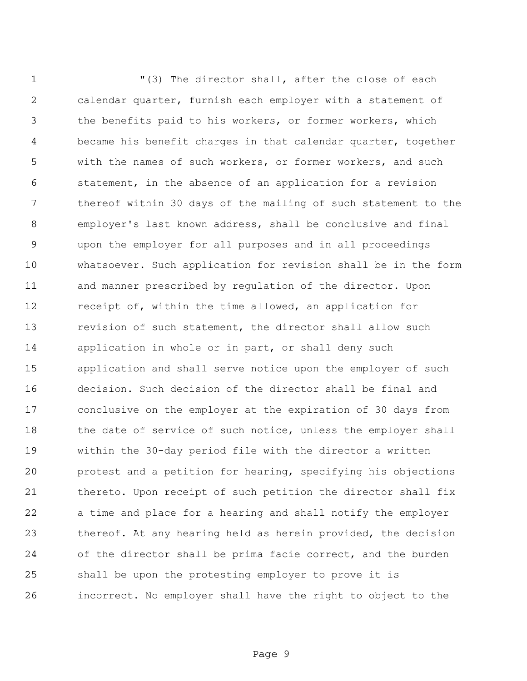"(3) The director shall, after the close of each calendar quarter, furnish each employer with a statement of the benefits paid to his workers, or former workers, which became his benefit charges in that calendar quarter, together with the names of such workers, or former workers, and such statement, in the absence of an application for a revision thereof within 30 days of the mailing of such statement to the employer's last known address, shall be conclusive and final upon the employer for all purposes and in all proceedings whatsoever. Such application for revision shall be in the form and manner prescribed by regulation of the director. Upon receipt of, within the time allowed, an application for revision of such statement, the director shall allow such application in whole or in part, or shall deny such application and shall serve notice upon the employer of such decision. Such decision of the director shall be final and conclusive on the employer at the expiration of 30 days from 18 the date of service of such notice, unless the employer shall within the 30-day period file with the director a written protest and a petition for hearing, specifying his objections thereto. Upon receipt of such petition the director shall fix a time and place for a hearing and shall notify the employer thereof. At any hearing held as herein provided, the decision of the director shall be prima facie correct, and the burden shall be upon the protesting employer to prove it is incorrect. No employer shall have the right to object to the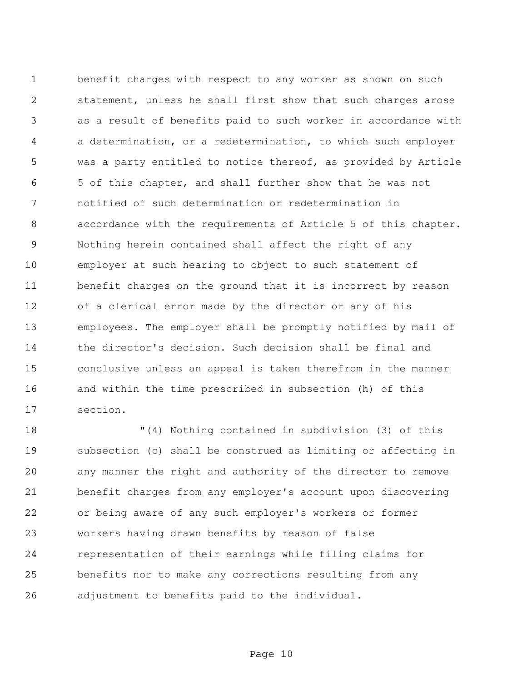benefit charges with respect to any worker as shown on such statement, unless he shall first show that such charges arose as a result of benefits paid to such worker in accordance with a determination, or a redetermination, to which such employer was a party entitled to notice thereof, as provided by Article 5 of this chapter, and shall further show that he was not notified of such determination or redetermination in accordance with the requirements of Article 5 of this chapter. Nothing herein contained shall affect the right of any employer at such hearing to object to such statement of benefit charges on the ground that it is incorrect by reason of a clerical error made by the director or any of his employees. The employer shall be promptly notified by mail of the director's decision. Such decision shall be final and conclusive unless an appeal is taken therefrom in the manner and within the time prescribed in subsection (h) of this section.

 "(4) Nothing contained in subdivision (3) of this subsection (c) shall be construed as limiting or affecting in any manner the right and authority of the director to remove benefit charges from any employer's account upon discovering or being aware of any such employer's workers or former workers having drawn benefits by reason of false representation of their earnings while filing claims for benefits nor to make any corrections resulting from any adjustment to benefits paid to the individual.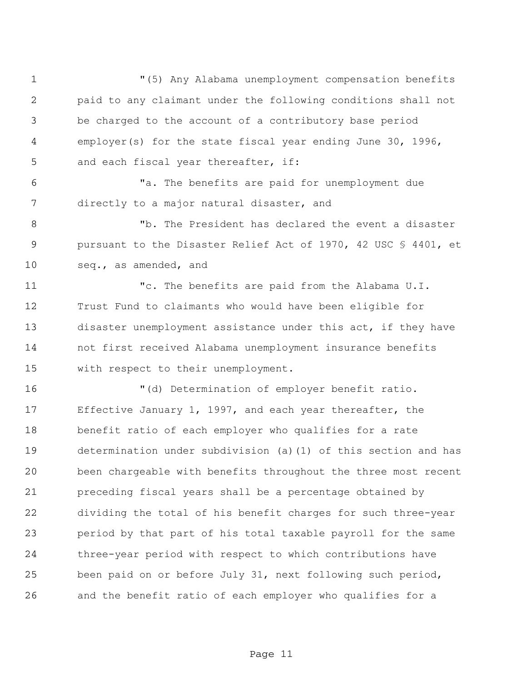"(5) Any Alabama unemployment compensation benefits paid to any claimant under the following conditions shall not be charged to the account of a contributory base period employer(s) for the state fiscal year ending June 30, 1996, 5 and each fiscal year thereafter, if:

 "a. The benefits are paid for unemployment due directly to a major natural disaster, and

 "b. The President has declared the event a disaster pursuant to the Disaster Relief Act of 1970, 42 USC § 4401, et seq., as amended, and

 "c. The benefits are paid from the Alabama U.I. Trust Fund to claimants who would have been eligible for disaster unemployment assistance under this act, if they have not first received Alabama unemployment insurance benefits with respect to their unemployment.

 "(d) Determination of employer benefit ratio. Effective January 1, 1997, and each year thereafter, the benefit ratio of each employer who qualifies for a rate determination under subdivision (a)(1) of this section and has been chargeable with benefits throughout the three most recent preceding fiscal years shall be a percentage obtained by dividing the total of his benefit charges for such three-year period by that part of his total taxable payroll for the same three-year period with respect to which contributions have been paid on or before July 31, next following such period, and the benefit ratio of each employer who qualifies for a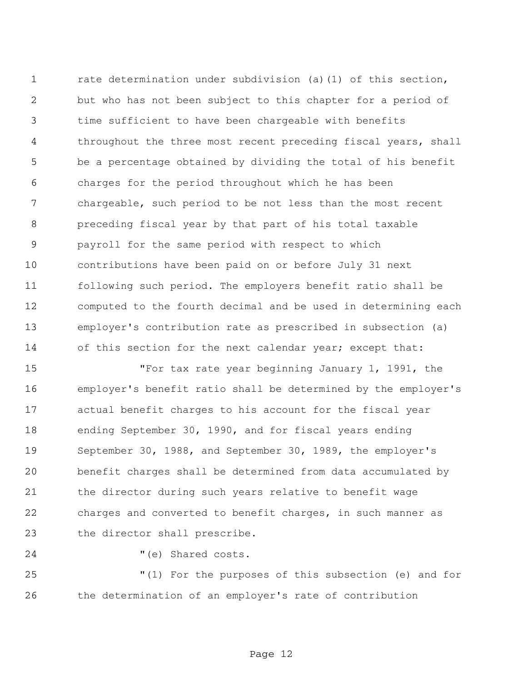rate determination under subdivision (a)(1) of this section, but who has not been subject to this chapter for a period of time sufficient to have been chargeable with benefits 4 throughout the three most recent preceding fiscal years, shall be a percentage obtained by dividing the total of his benefit charges for the period throughout which he has been chargeable, such period to be not less than the most recent preceding fiscal year by that part of his total taxable payroll for the same period with respect to which contributions have been paid on or before July 31 next following such period. The employers benefit ratio shall be computed to the fourth decimal and be used in determining each employer's contribution rate as prescribed in subsection (a) of this section for the next calendar year; except that:

 "For tax rate year beginning January 1, 1991, the employer's benefit ratio shall be determined by the employer's actual benefit charges to his account for the fiscal year ending September 30, 1990, and for fiscal years ending September 30, 1988, and September 30, 1989, the employer's benefit charges shall be determined from data accumulated by the director during such years relative to benefit wage charges and converted to benefit charges, in such manner as the director shall prescribe.

24 "(e) Shared costs.

 "(1) For the purposes of this subsection (e) and for the determination of an employer's rate of contribution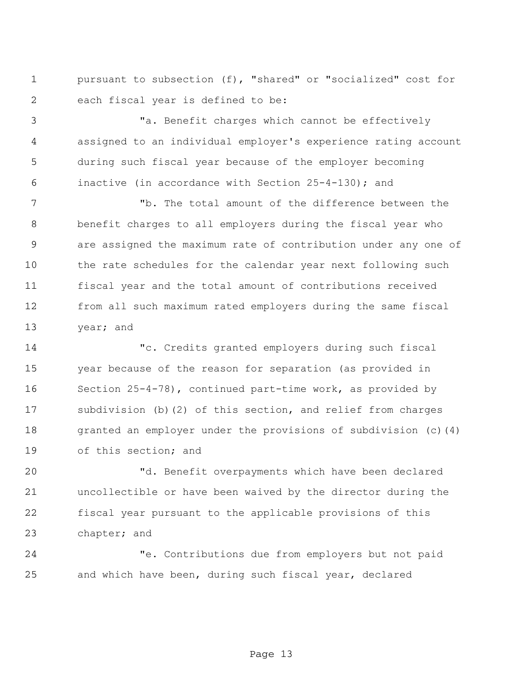pursuant to subsection (f), "shared" or "socialized" cost for each fiscal year is defined to be:

 "a. Benefit charges which cannot be effectively assigned to an individual employer's experience rating account during such fiscal year because of the employer becoming inactive (in accordance with Section 25-4-130); and

 "b. The total amount of the difference between the benefit charges to all employers during the fiscal year who are assigned the maximum rate of contribution under any one of the rate schedules for the calendar year next following such fiscal year and the total amount of contributions received from all such maximum rated employers during the same fiscal year; and

 "c. Credits granted employers during such fiscal year because of the reason for separation (as provided in Section 25-4-78), continued part-time work, as provided by subdivision (b)(2) of this section, and relief from charges granted an employer under the provisions of subdivision (c)(4) of this section; and

 "d. Benefit overpayments which have been declared uncollectible or have been waived by the director during the fiscal year pursuant to the applicable provisions of this chapter; and

 "e. Contributions due from employers but not paid and which have been, during such fiscal year, declared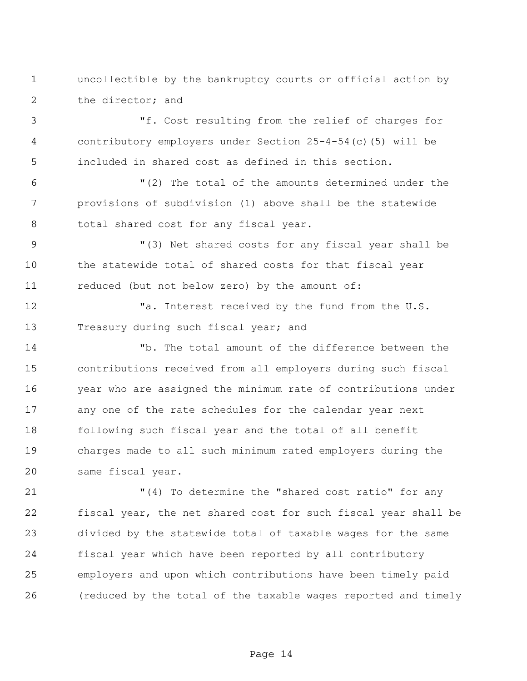uncollectible by the bankruptcy courts or official action by the director; and

 "f. Cost resulting from the relief of charges for contributory employers under Section 25-4-54(c)(5) will be included in shared cost as defined in this section.

 "(2) The total of the amounts determined under the provisions of subdivision (1) above shall be the statewide total shared cost for any fiscal year.

9 "(3) Net shared costs for any fiscal year shall be the statewide total of shared costs for that fiscal year reduced (but not below zero) by the amount of:

 "a. Interest received by the fund from the U.S. 13 Treasury during such fiscal year; and

 "b. The total amount of the difference between the contributions received from all employers during such fiscal year who are assigned the minimum rate of contributions under any one of the rate schedules for the calendar year next following such fiscal year and the total of all benefit charges made to all such minimum rated employers during the same fiscal year.

 "(4) To determine the "shared cost ratio" for any fiscal year, the net shared cost for such fiscal year shall be divided by the statewide total of taxable wages for the same fiscal year which have been reported by all contributory employers and upon which contributions have been timely paid (reduced by the total of the taxable wages reported and timely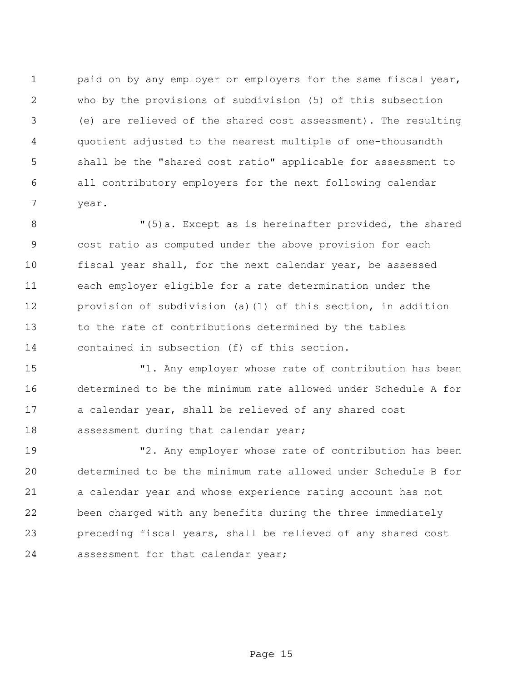1 paid on by any employer or employers for the same fiscal year, who by the provisions of subdivision (5) of this subsection (e) are relieved of the shared cost assessment). The resulting quotient adjusted to the nearest multiple of one-thousandth shall be the "shared cost ratio" applicable for assessment to all contributory employers for the next following calendar year.

 "(5)a. Except as is hereinafter provided, the shared cost ratio as computed under the above provision for each fiscal year shall, for the next calendar year, be assessed each employer eligible for a rate determination under the provision of subdivision (a)(1) of this section, in addition to the rate of contributions determined by the tables contained in subsection (f) of this section.

 "1. Any employer whose rate of contribution has been determined to be the minimum rate allowed under Schedule A for a calendar year, shall be relieved of any shared cost 18 assessment during that calendar year;

 "2. Any employer whose rate of contribution has been determined to be the minimum rate allowed under Schedule B for a calendar year and whose experience rating account has not been charged with any benefits during the three immediately preceding fiscal years, shall be relieved of any shared cost assessment for that calendar year;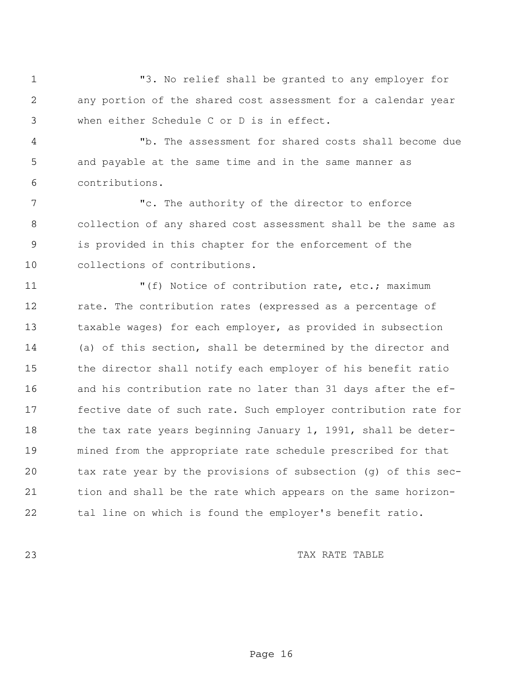"3. No relief shall be granted to any employer for any portion of the shared cost assessment for a calendar year when either Schedule C or D is in effect.

 "b. The assessment for shared costs shall become due and payable at the same time and in the same manner as contributions.

 "c. The authority of the director to enforce collection of any shared cost assessment shall be the same as is provided in this chapter for the enforcement of the collections of contributions.

 $\blacksquare$  (f) Notice of contribution rate, etc.; maximum rate. The contribution rates (expressed as a percentage of taxable wages) for each employer, as provided in subsection (a) of this section, shall be determined by the director and the director shall notify each employer of his benefit ratio and his contribution rate no later than 31 days after the ef- fective date of such rate. Such employer contribution rate for 18 the tax rate years beginning January 1, 1991, shall be deter- mined from the appropriate rate schedule prescribed for that tax rate year by the provisions of subsection (g) of this sec- tion and shall be the rate which appears on the same horizon-tal line on which is found the employer's benefit ratio.

TAX RATE TABLE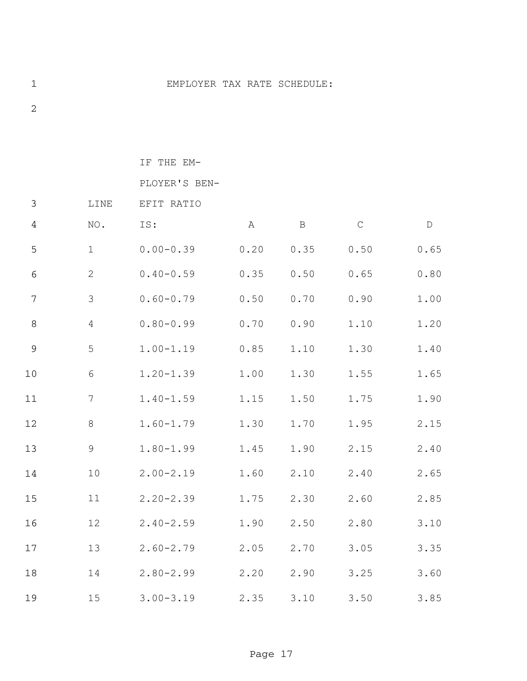IF THE EM-

PLOYER'S BEN-

| - |  |        |
|---|--|--------|
| - |  | $\sim$ |
|   |  |        |

| 4              | NO.            | IS:           | Α    | $\, {\bf B}$ | $\mathsf C$ | $\mathbb D$ |
|----------------|----------------|---------------|------|--------------|-------------|-------------|
| 5              | $\mathbf 1$    | $0.00 - 0.39$ | 0.20 | 0.35         | 0.50        | 0.65        |
| $\sqrt{6}$     | $\mathbf{2}$   | $0.40 - 0.59$ | 0.35 | 0.50         | 0.65        | 0.80        |
| $\overline{7}$ | 3              | $0.60 - 0.79$ | 0.50 | 0.70         | 0.90        | 1.00        |
| $\,8\,$        | $\overline{4}$ | $0.80 - 0.99$ | 0.70 | 0.90         | 1.10        | 1.20        |
| $\mathcal{G}$  | 5              | $1.00 - 1.19$ | 0.85 | 1.10         | 1.30        | 1.40        |
| 10             | $\epsilon$     | $1.20 - 1.39$ | 1.00 | 1.30         | 1.55        | 1.65        |
| 11             | $\overline{7}$ | $1.40 - 1.59$ | 1.15 | 1.50         | 1.75        | 1.90        |
| 12             | 8              | $1.60 - 1.79$ | 1.30 | 1.70         | 1.95        | 2.15        |
| 13             | 9              | $1.80 - 1.99$ | 1.45 | 1.90         | 2.15        | 2.40        |
| 14             | 10             | $2.00 - 2.19$ | 1.60 | 2.10         | 2.40        | 2.65        |
| 15             | 11             | $2.20 - 2.39$ | 1.75 | 2.30         | 2.60        | 2.85        |
| 16             | 12             | $2.40 - 2.59$ | 1.90 | 2.50         | 2.80        | 3.10        |
| 17             | 13             | $2.60 - 2.79$ | 2.05 | 2.70         | 3.05        | 3.35        |
| 18             | 14             | $2.80 - 2.99$ | 2.20 | 2.90         | 3.25        | 3.60        |
| 19             | 15             | $3.00 - 3.19$ | 2.35 | 3.10         | 3.50        | 3.85        |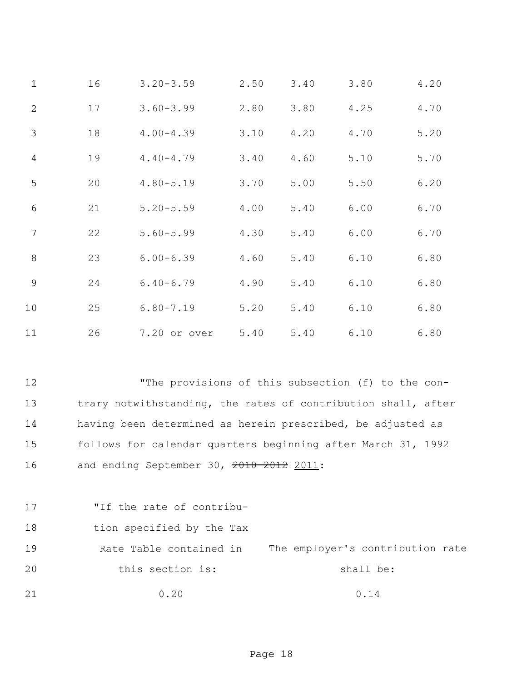| $\mathbf 1$ | 16 | $3.20 - 3.59$ | 2.50 | 3.40 | 3.80 | 4.20 |
|-------------|----|---------------|------|------|------|------|
| 2           | 17 | $3.60 - 3.99$ | 2.80 | 3.80 | 4.25 | 4.70 |
| 3           | 18 | $4.00 - 4.39$ | 3.10 | 4.20 | 4.70 | 5.20 |
| 4           | 19 | $4.40 - 4.79$ | 3.40 | 4.60 | 5.10 | 5.70 |
| 5           | 20 | $4.80 - 5.19$ | 3.70 | 5.00 | 5.50 | 6.20 |
| $6\,$       | 21 | $5.20 - 5.59$ | 4.00 | 5.40 | 6.00 | 6.70 |
| 7           | 22 | $5.60 - 5.99$ | 4.30 | 5.40 | 6.00 | 6.70 |
| 8           | 23 | $6.00 - 6.39$ | 4.60 | 5.40 | 6.10 | 6.80 |
| 9           | 24 | $6.40 - 6.79$ | 4.90 | 5.40 | 6.10 | 6.80 |
| 10          | 25 | $6.80 - 7.19$ | 5.20 | 5.40 | 6.10 | 6.80 |
| 11          | 26 | 7.20 or over  | 5.40 | 5.40 | 6.10 | 6.80 |

 "The provisions of this subsection (f) to the con-13 trary notwithstanding, the rates of contribution shall, after having been determined as herein prescribed, be adjusted as follows for calendar quarters beginning after March 31, 1992 and ending September 30, 2010 2012 2011:

| 17 | "If the rate of contribu- |                                  |
|----|---------------------------|----------------------------------|
| 18 | tion specified by the Tax |                                  |
| 19 | Rate Table contained in   | The employer's contribution rate |
| 20 | this section is:          | shall be:                        |
| 21 | 0.20                      | 0.14                             |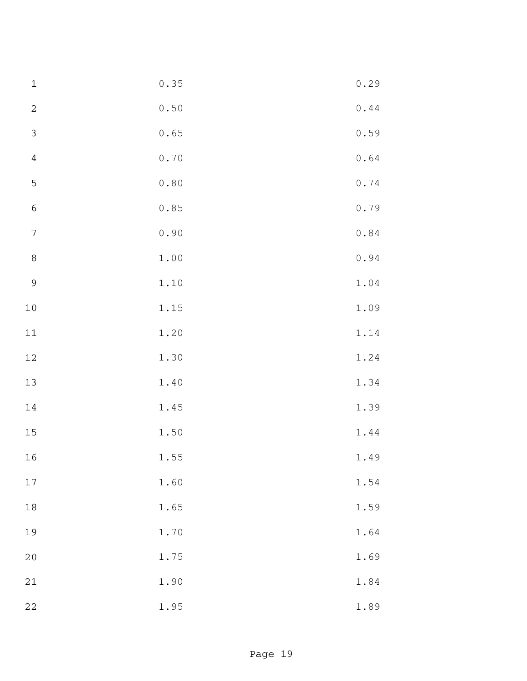| $\ensuremath{\mathbbm{1}}$       | 0.35 | 0.29                                                     |
|----------------------------------|------|----------------------------------------------------------|
| $\sqrt{2}$                       | 0.50 | $\ensuremath{\mathbf{0}}$ . 44                           |
| $\mathfrak{Z}$                   | 0.65 | 0.59                                                     |
| $\sqrt{4}$                       | 0.70 | $\ensuremath{\mathbf{0}}$ . $\ensuremath{\mathbf{6}}\,4$ |
| $\mathsf S$                      | 0.80 | 0.74                                                     |
| $\sqrt{6}$                       | 0.85 | 0.79                                                     |
| $\sqrt{ }$                       | 0.90 | $\ensuremath{\mathbf{0}}$ . $\ensuremath{\mathbf{8}}\,4$ |
| $\begin{array}{c} 8 \end{array}$ | 1.00 | 0.94                                                     |
| $\mathcal{G}$                    | 1.10 | $1\,.\,0\,4$                                             |
| $10$                             | 1.15 | 1.09                                                     |
| $11\,$                           | 1.20 | 1.14                                                     |
| $12\,$                           | 1.30 | 1.24                                                     |
| $13\,$                           | 1.40 | 1.34                                                     |
| 14                               | 1.45 | 1.39                                                     |
| $15$                             | 1.50 | 1.44                                                     |
| 16                               | 1.55 | 1.49                                                     |
| $17$                             | 1.60 | 1.54                                                     |
| 18                               | 1.65 | 1.59                                                     |
| 19                               | 1.70 | 1.64                                                     |
| $20$                             | 1.75 | 1.69                                                     |
| $2\sqrt{1}$                      | 1.90 | 1.84                                                     |
| 22                               | 1.95 | 1.89                                                     |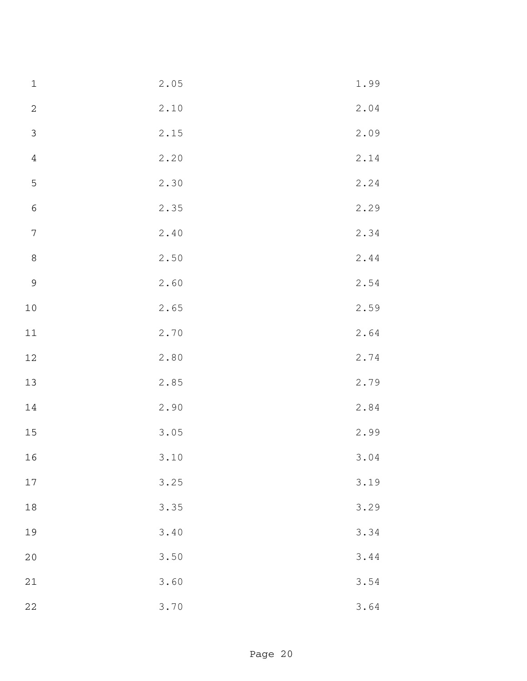| $\mathbf 1$    | 2.05 | 1.99 |
|----------------|------|------|
| $\sqrt{2}$     | 2.10 | 2.04 |
| $\mathfrak{Z}$ | 2.15 | 2.09 |
| $\sqrt{4}$     | 2.20 | 2.14 |
| $\mathsf S$    | 2.30 | 2.24 |
| $\sqrt{6}$     | 2.35 | 2.29 |
| $\sqrt{ }$     | 2.40 | 2.34 |
| $\,8\,$        | 2.50 | 2.44 |
| $\mathsf 9$    | 2.60 | 2.54 |
| $10$           | 2.65 | 2.59 |
| $11$           | 2.70 | 2.64 |
| 12             | 2.80 | 2.74 |
| 13             | 2.85 | 2.79 |
| 14             | 2.90 | 2.84 |
| 15             | 3.05 | 2.99 |
| 16             | 3.10 | 3.04 |
| $17$           | 3.25 | 3.19 |
| 18             | 3.35 | 3.29 |
| 19             | 3.40 | 3.34 |
| $2\,0$         | 3.50 | 3.44 |
| $21\,$         | 3.60 | 3.54 |
| $2\sqrt{2}$    | 3.70 | 3.64 |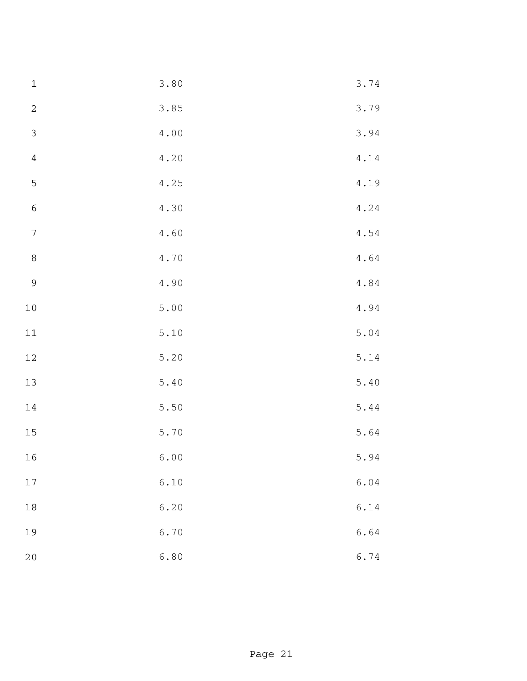| $\ensuremath{\mathbbm{1}}$ | 3.80                                          | 3.74                                            |
|----------------------------|-----------------------------------------------|-------------------------------------------------|
| $\sqrt{2}$                 | 3.85                                          | 3.79                                            |
| $\mathfrak{Z}$             | 4.00                                          | 3.94                                            |
| $\sqrt{4}$                 | 4.20                                          | $4\,\raisebox{1pt}{\text{\circle*{1.5}}}\,1\,4$ |
| $\mathsf S$                | 4.25                                          | 4.19                                            |
| $\sqrt{6}$                 | 4.30                                          | $4\,\raisebox{1pt}{\text{\circle*{1.5}}}\,2\,4$ |
| $\sqrt{ }$                 | 4.60                                          | 4.54                                            |
| $\,8\,$                    | $4\,\raisebox{1pt}{\text{\circle*{1.5}}}\,70$ | $4\centerdot 64$                                |
| $\mathsf 9$                | 4.90                                          | $4\centerdot84$                                 |
| $10$                       | 5.00                                          | 4.94                                            |
| $11\,$                     | 5.10                                          | 5.04                                            |
| $12\,$                     | 5.20                                          | 5.14                                            |
| 13                         | 5.40                                          | 5.40                                            |
| 14                         | 5.50                                          | 5.44                                            |
| $15\,$                     | 5.70                                          | 5.64                                            |
| 16                         | 6.00                                          | 5.94                                            |
| $17\,$                     | 6.10                                          | 6.04                                            |
| $1\,8$                     | 6.20                                          | 6.14                                            |
| 19                         | 6.70                                          | 6.64                                            |
| $2\,0$                     | 6.80                                          | 6.74                                            |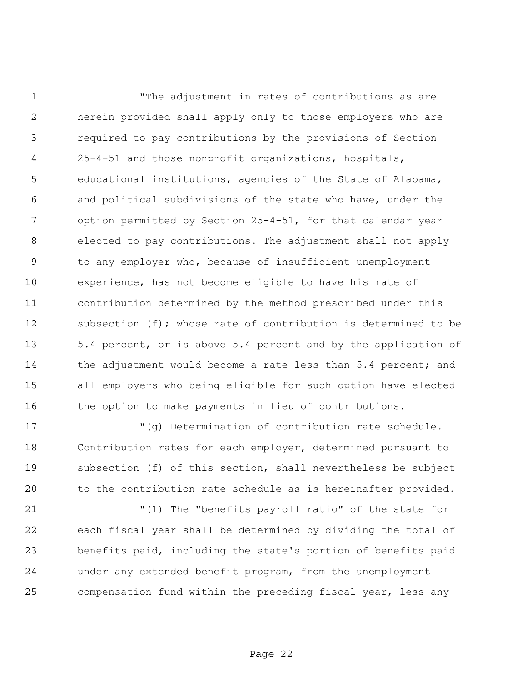"The adjustment in rates of contributions as are herein provided shall apply only to those employers who are required to pay contributions by the provisions of Section 25-4-51 and those nonprofit organizations, hospitals, educational institutions, agencies of the State of Alabama, and political subdivisions of the state who have, under the option permitted by Section 25-4-51, for that calendar year elected to pay contributions. The adjustment shall not apply to any employer who, because of insufficient unemployment experience, has not become eligible to have his rate of contribution determined by the method prescribed under this subsection (f); whose rate of contribution is determined to be 5.4 percent, or is above 5.4 percent and by the application of 14 the adjustment would become a rate less than 5.4 percent; and all employers who being eligible for such option have elected 16 the option to make payments in lieu of contributions.

 "(g) Determination of contribution rate schedule. Contribution rates for each employer, determined pursuant to subsection (f) of this section, shall nevertheless be subject to the contribution rate schedule as is hereinafter provided.

 "(1) The "benefits payroll ratio" of the state for each fiscal year shall be determined by dividing the total of benefits paid, including the state's portion of benefits paid under any extended benefit program, from the unemployment compensation fund within the preceding fiscal year, less any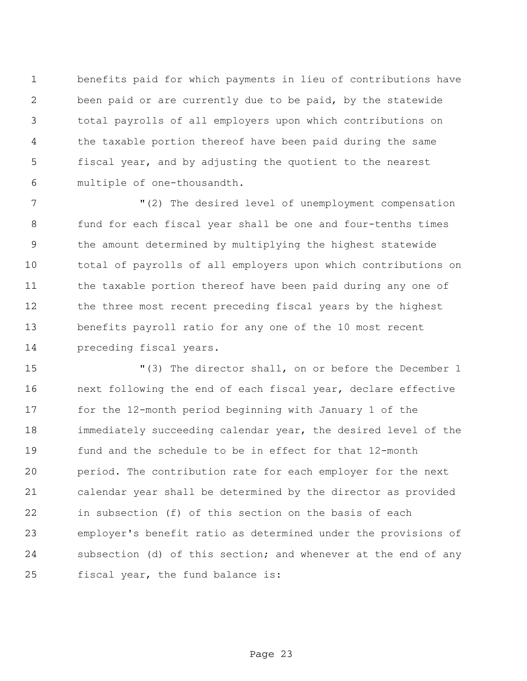benefits paid for which payments in lieu of contributions have been paid or are currently due to be paid, by the statewide total payrolls of all employers upon which contributions on the taxable portion thereof have been paid during the same fiscal year, and by adjusting the quotient to the nearest multiple of one-thousandth.

7 The desired level of unemployment compensation fund for each fiscal year shall be one and four-tenths times the amount determined by multiplying the highest statewide total of payrolls of all employers upon which contributions on the taxable portion thereof have been paid during any one of the three most recent preceding fiscal years by the highest benefits payroll ratio for any one of the 10 most recent preceding fiscal years.

 "(3) The director shall, on or before the December 1 next following the end of each fiscal year, declare effective for the 12-month period beginning with January 1 of the immediately succeeding calendar year, the desired level of the fund and the schedule to be in effect for that 12-month period. The contribution rate for each employer for the next calendar year shall be determined by the director as provided in subsection (f) of this section on the basis of each employer's benefit ratio as determined under the provisions of subsection (d) of this section; and whenever at the end of any fiscal year, the fund balance is: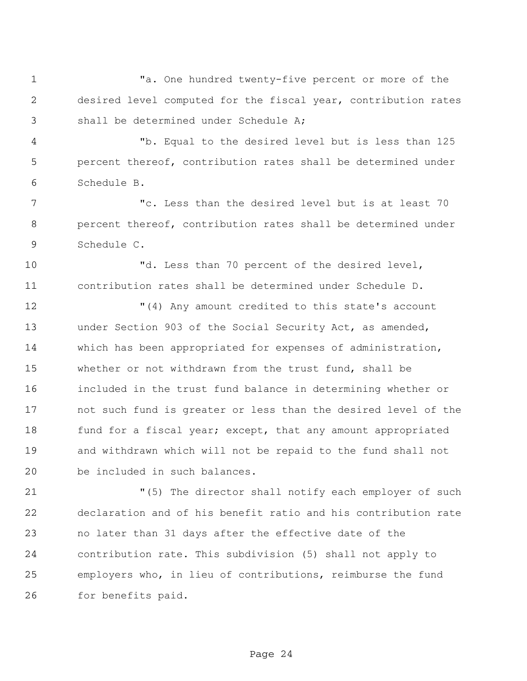"a. One hundred twenty-five percent or more of the desired level computed for the fiscal year, contribution rates shall be determined under Schedule A;

 "b. Equal to the desired level but is less than 125 percent thereof, contribution rates shall be determined under Schedule B.

 "c. Less than the desired level but is at least 70 percent thereof, contribution rates shall be determined under Schedule C.

 "d. Less than 70 percent of the desired level, contribution rates shall be determined under Schedule D.

 "(4) Any amount credited to this state's account under Section 903 of the Social Security Act, as amended, which has been appropriated for expenses of administration, whether or not withdrawn from the trust fund, shall be included in the trust fund balance in determining whether or not such fund is greater or less than the desired level of the 18 fund for a fiscal year; except, that any amount appropriated and withdrawn which will not be repaid to the fund shall not be included in such balances.

 "(5) The director shall notify each employer of such declaration and of his benefit ratio and his contribution rate no later than 31 days after the effective date of the contribution rate. This subdivision (5) shall not apply to employers who, in lieu of contributions, reimburse the fund for benefits paid.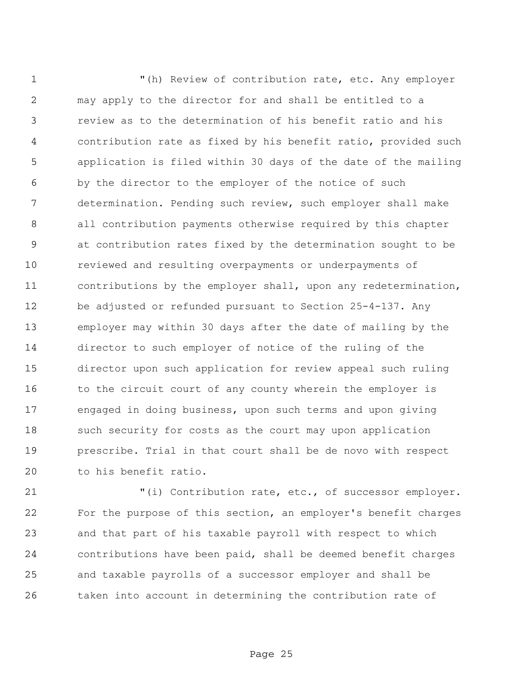"(h) Review of contribution rate, etc. Any employer may apply to the director for and shall be entitled to a review as to the determination of his benefit ratio and his contribution rate as fixed by his benefit ratio, provided such application is filed within 30 days of the date of the mailing by the director to the employer of the notice of such determination. Pending such review, such employer shall make all contribution payments otherwise required by this chapter at contribution rates fixed by the determination sought to be reviewed and resulting overpayments or underpayments of contributions by the employer shall, upon any redetermination, be adjusted or refunded pursuant to Section 25-4-137. Any employer may within 30 days after the date of mailing by the director to such employer of notice of the ruling of the director upon such application for review appeal such ruling 16 to the circuit court of any county wherein the employer is engaged in doing business, upon such terms and upon giving 18 such security for costs as the court may upon application prescribe. Trial in that court shall be de novo with respect to his benefit ratio.

 "(i) Contribution rate, etc., of successor employer. For the purpose of this section, an employer's benefit charges and that part of his taxable payroll with respect to which contributions have been paid, shall be deemed benefit charges and taxable payrolls of a successor employer and shall be taken into account in determining the contribution rate of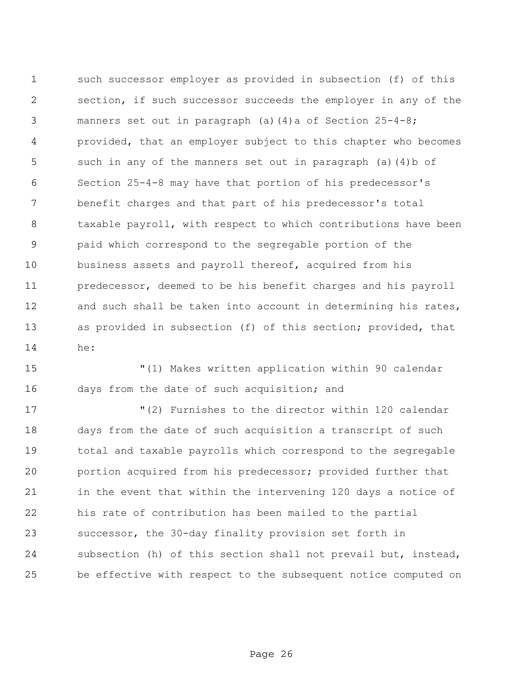such successor employer as provided in subsection (f) of this section, if such successor succeeds the employer in any of the manners set out in paragraph (a)(4)a of Section 25-4-8; provided, that an employer subject to this chapter who becomes such in any of the manners set out in paragraph (a)(4)b of Section 25-4-8 may have that portion of his predecessor's benefit charges and that part of his predecessor's total taxable payroll, with respect to which contributions have been paid which correspond to the segregable portion of the business assets and payroll thereof, acquired from his predecessor, deemed to be his benefit charges and his payroll and such shall be taken into account in determining his rates, as provided in subsection (f) of this section; provided, that he:

 "(1) Makes written application within 90 calendar days from the date of such acquisition; and

 "(2) Furnishes to the director within 120 calendar days from the date of such acquisition a transcript of such total and taxable payrolls which correspond to the segregable portion acquired from his predecessor; provided further that in the event that within the intervening 120 days a notice of his rate of contribution has been mailed to the partial successor, the 30-day finality provision set forth in subsection (h) of this section shall not prevail but, instead, be effective with respect to the subsequent notice computed on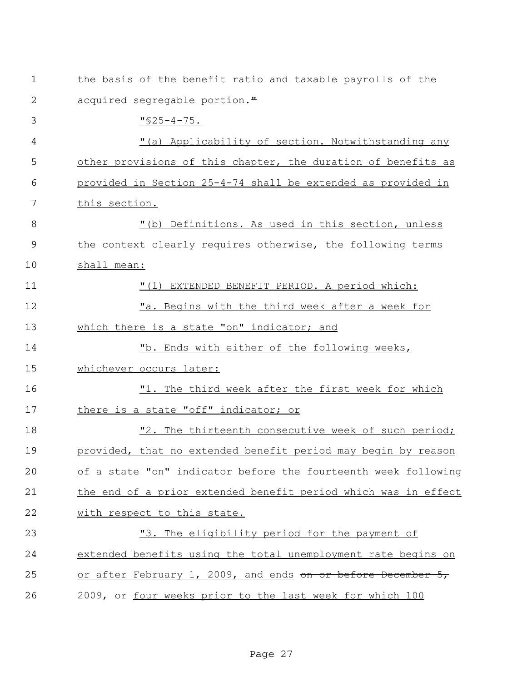the basis of the benefit ratio and taxable payrolls of the 2 acquired segregable portion.<sup>"</sup>

"§25-4-75.

4 The *"(a) Applicability of section. Notwithstanding any*  other provisions of this chapter, the duration of benefits as provided in Section 25-4-74 shall be extended as provided in this section.

 "(b) Definitions. As used in this section, unless the context clearly requires otherwise, the following terms shall mean:

- "(1) EXTENDED BENEFIT PERIOD. A period which: "a. Begins with the third week after a week for which there is a state "on" indicator; and
- "b. Ends with either of the following weeks,

whichever occurs later:

 "1. The third week after the first week for which there is a state "off" indicator; or

18 The thirteenth consecutive week of such period; **provided, that no extended benefit period may begin by reason**  of a state "on" indicator before the fourteenth week following the end of a prior extended benefit period which was in effect 22 with respect to this state.

## "3. The eligibility period for the payment of extended benefits using the total unemployment rate begins on 25 or after February 1, 2009, and ends on or before December 5,

26 2009, or four weeks prior to the last week for which 100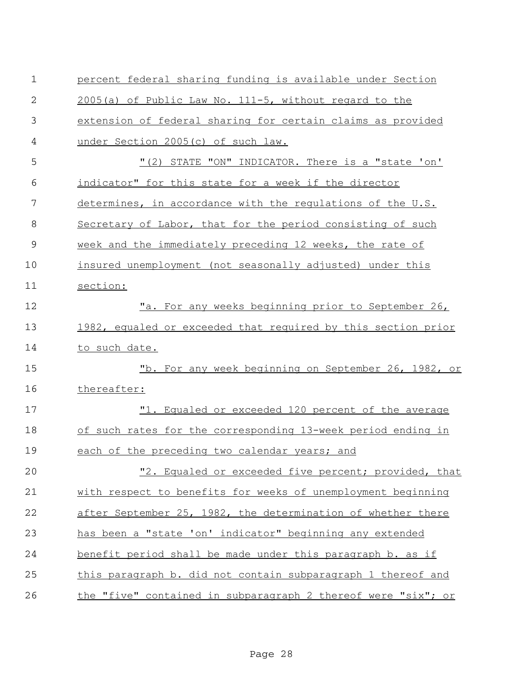| $\mathbf 1$ | percent federal sharing funding is available under Section    |
|-------------|---------------------------------------------------------------|
| 2           | 2005(a) of Public Law No. 111-5, without regard to the        |
|             |                                                               |
| 3           | extension of federal sharing for certain claims as provided   |
| 4           | under Section 2005(c) of such law.                            |
| 5           | "(2) STATE "ON" INDICATOR. There is a "state 'on'             |
| 6           | indicator" for this state for a week if the director          |
| 7           | determines, in accordance with the regulations of the U.S.    |
| 8           | Secretary of Labor, that for the period consisting of such    |
| 9           | week and the immediately preceding 12 weeks, the rate of      |
| 10          | insured unemployment (not seasonally adjusted) under this     |
| 11          | section:                                                      |
| 12          | "a. For any weeks beginning prior to September 26,            |
| 13          | 1982, equaled or exceeded that required by this section prior |
| 14          | to such date.                                                 |
| 15          | "b. For any week beginning on September 26, 1982, or          |
| 16          | thereafter:                                                   |
| 17          | "1. Equaled or exceeded 120 percent of the average            |
| 18          | of such rates for the corresponding 13-week period ending in  |
| 19          | each of the preceding two calendar years; and                 |
| 20          | "2. Equaled or exceeded five percent; provided, that          |
| 21          | with respect to benefits for weeks of unemployment beginning  |
| 22          | after September 25, 1982, the determination of whether there  |
| 23          | has been a "state 'on' indicator" beginning any extended      |
| 24          | benefit period shall be made under this paragraph b. as if    |
| 25          | this paragraph b. did not contain subparagraph 1 thereof and  |
| 26          | the "five" contained in subparagraph 2 thereof were "six"; or |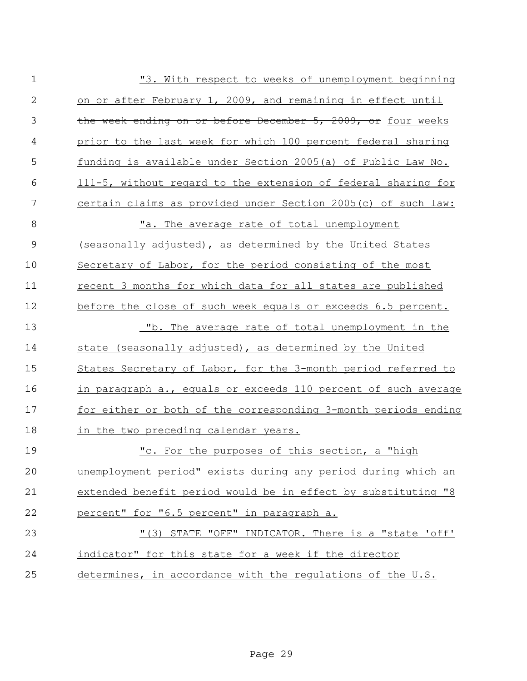| $\mathbf 1$    | "3. With respect to weeks of unemployment beginning                   |
|----------------|-----------------------------------------------------------------------|
| $\overline{2}$ | on or after February 1, 2009, and remaining in effect until           |
| 3              | the week ending on or before December 5, 2009, or four weeks          |
| 4              | prior to the last week for which 100 percent federal sharing          |
| 5              | funding is available under Section 2005(a) of Public Law No.          |
| 6              | 111-5, without regard to the extension of federal sharing for         |
| 7              | certain claims as provided under Section 2005(c) of such law:         |
| 8              | "a. The average rate of total unemployment                            |
| $\overline{9}$ | (seasonally adjusted), as determined by the United States             |
| 10             | Secretary of Labor, for the period consisting of the most             |
| 11             | recent 3 months for which data for all states are published           |
| 12             | before the close of such week equals or exceeds 6.5 percent.          |
| 13             | "b. The average rate of total unemployment in the                     |
| 14             | state (seasonally adjusted), as determined by the United              |
| 15             | States Secretary of Labor, for the 3-month period referred to         |
| 16             | <u>in paragraph a., equals or exceeds 110 percent of such average</u> |
| 17             | for either or both of the corresponding 3-month periods ending        |
| 18             | in the two preceding calendar years.                                  |
| 19             | "c. For the purposes of this section, a "high                         |
| 20             | unemployment period" exists during any period during which an         |
| 21             | extended benefit period would be in effect by substituting "8         |
| 22             | percent" for "6.5 percent" in paragraph a.                            |
| 23             | "(3) STATE "OFF" INDICATOR. There is a "state 'off'                   |
| 24             | indicator" for this state for a week if the director                  |
| 25             | determines, in accordance with the regulations of the U.S.            |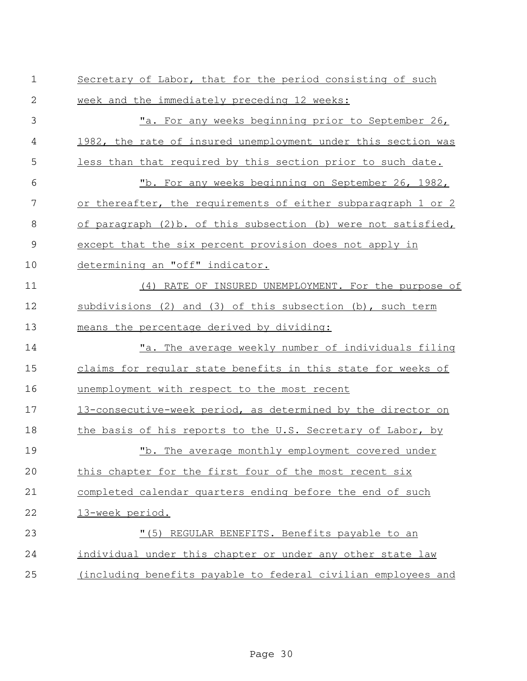Secretary of Labor, that for the period consisting of such week and the immediately preceding 12 weeks: "a. For any weeks beginning prior to September 26, 1982, the rate of insured unemployment under this section was less than that required by this section prior to such date. "b. For any weeks beginning on September 26, 1982, 7 or thereafter, the requirements of either subparagraph 1 or 2 of paragraph (2)b. of this subsection (b) were not satisfied, except that the six percent provision does not apply in determining an "off" indicator. (4) RATE OF INSURED UNEMPLOYMENT. For the purpose of subdivisions (2) and (3) of this subsection (b), such term means the percentage derived by dividing: 14 The average weekly number of individuals filing claims for regular state benefits in this state for weeks of unemployment with respect to the most recent 13-consecutive-week period, as determined by the director on 18 the basis of his reports to the U.S. Secretary of Labor, by "b. The average monthly employment covered under this chapter for the first four of the most recent six completed calendar quarters ending before the end of such 13-week period. "(5) REGULAR BENEFITS. Benefits payable to an individual under this chapter or under any other state law (including benefits payable to federal civilian employees and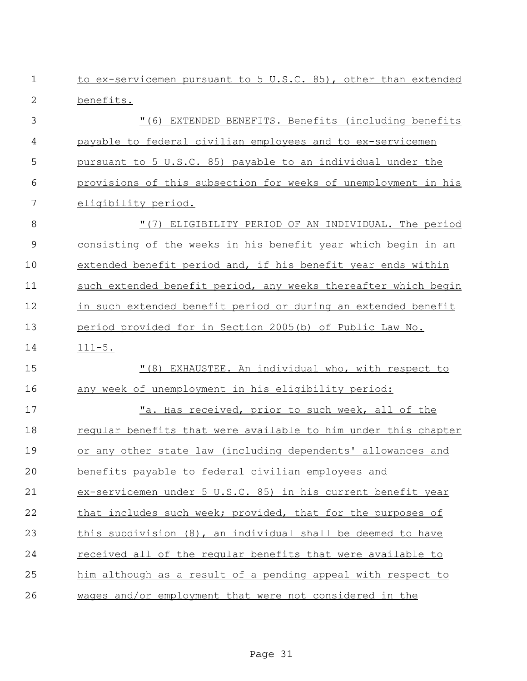to ex-servicemen pursuant to 5 U.S.C. 85), other than extended benefits.

 "(6) EXTENDED BENEFITS. Benefits (including benefits payable to federal civilian employees and to ex-servicemen pursuant to 5 U.S.C. 85) payable to an individual under the provisions of this subsection for weeks of unemployment in his eligibility period. "(7) ELIGIBILITY PERIOD OF AN INDIVIDUAL. The period consisting of the weeks in his benefit year which begin in an extended benefit period and, if his benefit year ends within such extended benefit period, any weeks thereafter which begin 12 in such extended benefit period or during an extended benefit period provided for in Section 2005(b) of Public Law No. 111-5. "(8) EXHAUSTEE. An individual who, with respect to any week of unemployment in his eligibility period: "a. Has received, prior to such week, all of the regular benefits that were available to him under this chapter or any other state law (including dependents' allowances and benefits payable to federal civilian employees and ex-servicemen under 5 U.S.C. 85) in his current benefit year 22 that includes such week; provided, that for the purposes of this subdivision (8), an individual shall be deemed to have 24 received all of the reqular benefits that were available to him although as a result of a pending appeal with respect to wages and/or employment that were not considered in the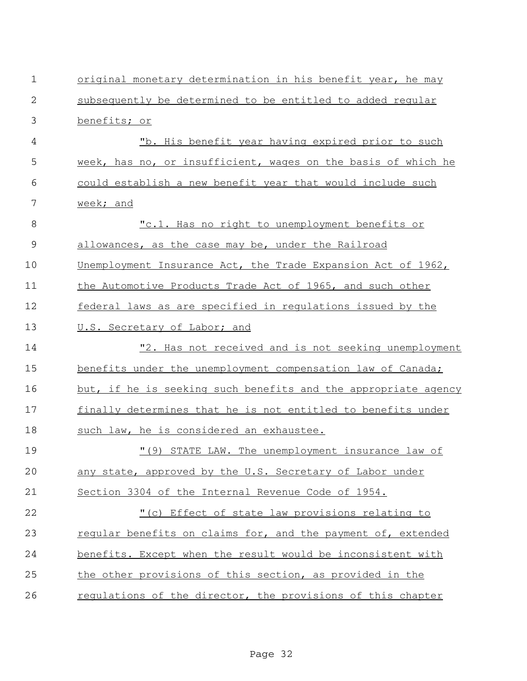| $\mathbf 1$    | original monetary determination in his benefit year, he may    |
|----------------|----------------------------------------------------------------|
| 2              | subsequently be determined to be entitled to added regular     |
| 3              | benefits; or                                                   |
| 4              | "b. His benefit year having expired prior to such              |
| 5              | week, has no, or insufficient, wages on the basis of which he  |
| 6              | could establish a new benefit year that would include such     |
| 7              | week; and                                                      |
| 8              | "c.1. Has no right to unemployment benefits or                 |
| $\overline{9}$ | allowances, as the case may be, under the Railroad             |
| 10             | Unemployment Insurance Act, the Trade Expansion Act of 1962,   |
| 11             | the Automotive Products Trade Act of 1965, and such other      |
| 12             | federal laws as are specified in regulations issued by the     |
| 13             | U.S. Secretary of Labor; and                                   |
|                |                                                                |
| 14             | "2. Has not received and is not seeking unemployment           |
| 15             | benefits under the unemployment compensation law of Canada;    |
| 16             | but, if he is seeking such benefits and the appropriate agency |
| 17             | finally determines that he is not entitled to benefits under   |
| 18             | such law, he is considered an exhaustee.                       |
| 19             | "(9) STATE LAW. The unemployment insurance law of              |
| 20             | any state, approved by the U.S. Secretary of Labor under       |
| 21             | Section 3304 of the Internal Revenue Code of 1954.             |
| 22             | "(c) Effect of state law provisions relating to                |
| 23             | reqular benefits on claims for, and the payment of, extended   |
| 24             | benefits. Except when the result would be inconsistent with    |
| 25             | the other provisions of this section, as provided in the       |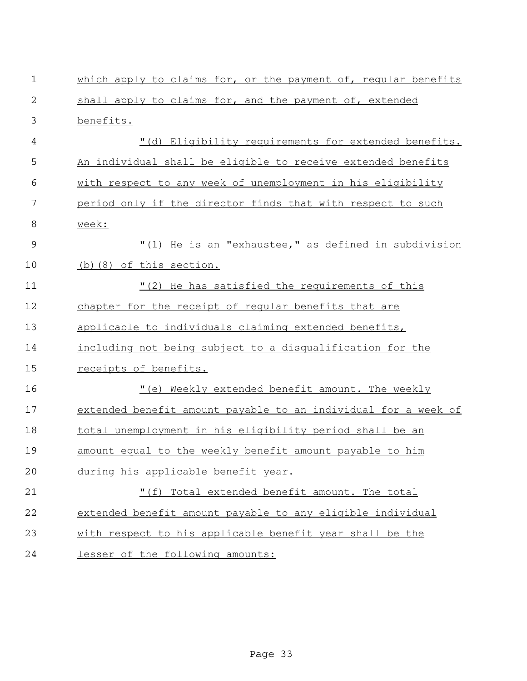| $\mathbf 1$ | which apply to claims for, or the payment of, regular benefits |
|-------------|----------------------------------------------------------------|
| 2           | shall apply to claims for, and the payment of, extended        |
| 3           | benefits.                                                      |
| 4           | "(d) Eligibility requirements for extended benefits.           |
| 5           | An individual shall be eligible to receive extended benefits   |
| 6           | with respect to any week of unemployment in his eligibility    |
| 7           | period only if the director finds that with respect to such    |
| 8           | week:                                                          |
| 9           | "(1) He is an "exhaustee," as defined in subdivision           |
| 10          | (b) (8) of this section.                                       |
| 11          | "(2) He has satisfied the requirements of this                 |
| 12          | chapter for the receipt of regular benefits that are           |
| 13          | applicable to individuals claiming extended benefits,          |
| 14          | including not being subject to a disqualification for the      |
| 15          | receipts of benefits.                                          |
| 16          | "(e) Weekly extended benefit amount. The weekly                |
| 17          | extended benefit amount payable to an individual for a week of |
| 18          | total unemployment in his eligibility period shall be an       |
| 19          | amount equal to the weekly benefit amount payable to him       |
| 20          | during his applicable benefit year.                            |
| 21          | "(f) Total extended benefit amount. The total                  |
| 22          | extended benefit amount payable to any eligible individual     |
| 23          | with respect to his applicable benefit year shall be the       |
| 24          | lesser of the following amounts:                               |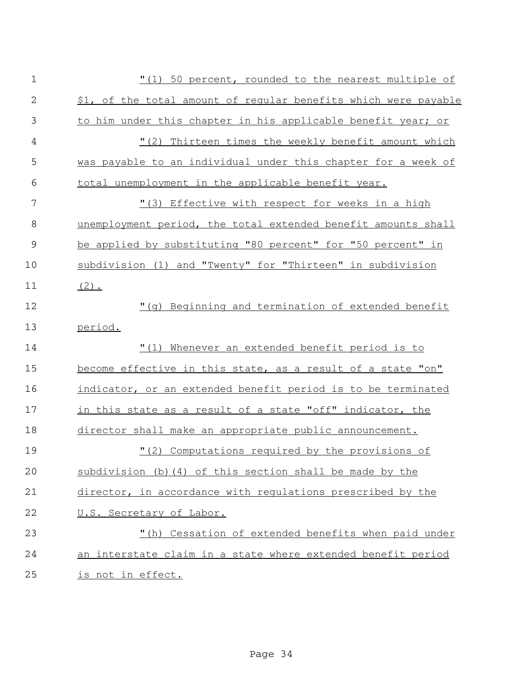| $\mathbf{1}$   | "(1) 50 percent, rounded to the nearest multiple of             |
|----------------|-----------------------------------------------------------------|
| $\overline{2}$ | \$1, of the total amount of reqular benefits which were payable |
| 3              | to him under this chapter in his applicable benefit year; or    |
| 4              | "(2) Thirteen times the weekly benefit amount which             |
| 5              | was payable to an individual under this chapter for a week of   |
| 6              | total unemployment in the applicable benefit year.              |
| 7              | "(3) Effective with respect for weeks in a high                 |
| 8              | unemployment period, the total extended benefit amounts shall   |
| $\mathcal{G}$  | be applied by substituting "80 percent" for "50 percent" in     |
| 10             | subdivision (1) and "Twenty" for "Thirteen" in subdivision      |
| 11             | $(2)$ .                                                         |
| 12             | "(q) Beginning and termination of extended benefit              |
| 13             | period.                                                         |
| 14             | "(1)<br>Whenever an extended benefit period is to               |
| 15             | become effective in this state, as a result of a state "on"     |
| 16             | indicator, or an extended benefit period is to be terminated    |
| 17             | in this state as a result of a state "off" indicator, the       |
| 18             | director shall make an appropriate public announcement.         |
| 19             | "(2) Computations required by the provisions of                 |
| 20             | subdivision (b) (4) of this section shall be made by the        |
| 21             | director, in accordance with regulations prescribed by the      |
| 22             | U.S. Secretary of Labor.                                        |
| 23             | "(h) Cessation of extended benefits when paid under             |
| 24             | an interstate claim in a state where extended benefit period    |
| 25             | is not in effect.                                               |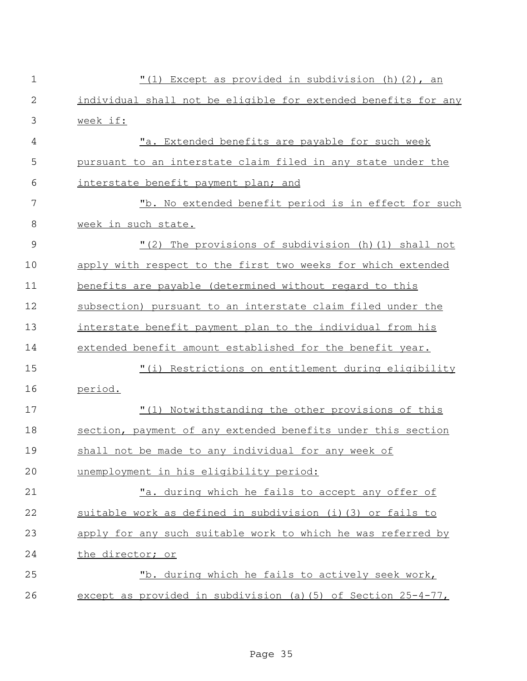| $\mathbf 1$    | "(1) Except as provided in subdivision (h)(2), an               |
|----------------|-----------------------------------------------------------------|
| $\overline{2}$ | individual shall not be eligible for extended benefits for any  |
| 3              | week if:                                                        |
| 4              | "a. Extended benefits are payable for such week                 |
| 5              | pursuant to an interstate claim filed in any state under the    |
| 6              | interstate benefit payment plan; and                            |
| 7              | "b. No extended benefit period is in effect for such            |
| 8              | week in such state.                                             |
| 9              | "(2) The provisions of subdivision (h)(1) shall not             |
| 10             | apply with respect to the first two weeks for which extended    |
| 11             | benefits are payable (determined without regard to this         |
| 12             | subsection) pursuant to an interstate claim filed under the     |
| 13             | interstate benefit payment plan to the individual from his      |
| 14             | extended benefit amount established for the benefit year.       |
| 15             | "(i) Restrictions on entitlement during eligibility             |
| 16             | period.                                                         |
| 17             | "(1) Notwithstanding the other provisions of this               |
| 18             | section, payment of any extended benefits under this section    |
| 19             | shall not be made to any individual for any week of             |
| 20             | unemployment in his eligibility period:                         |
| 21             | "a. during which he fails to accept any offer of                |
| 22             | suitable work as defined in subdivision (i) (3) or fails to     |
| 23             | apply for any such suitable work to which he was referred by    |
| 24             | the director; or                                                |
| 25             | "b. during which he fails to actively seek work,                |
| 26             | except as provided in subdivision (a) $(5)$ of Section 25-4-77, |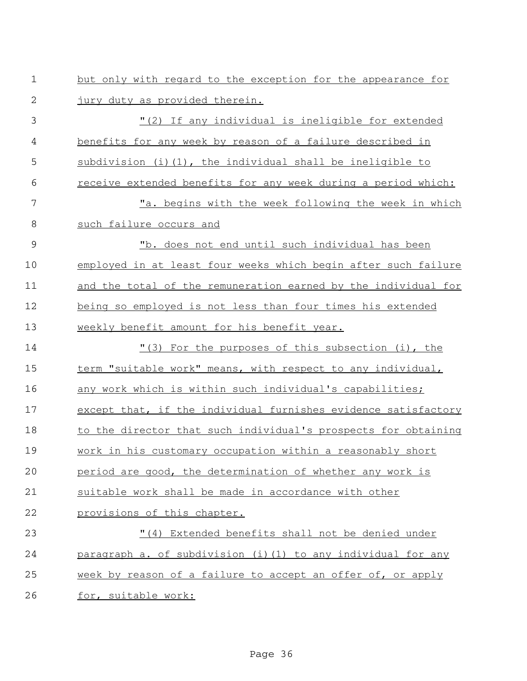- but only with regard to the exception for the appearance for 2 jury duty as provided therein. "(2) If any individual is ineligible for extended benefits for any week by reason of a failure described in subdivision (i)(1), the individual shall be ineligible to receive extended benefits for any week during a period which: 7 The state of the week following the week in which such failure occurs and "b. does not end until such individual has been employed in at least four weeks which begin after such failure and the total of the remuneration earned by the individual for being so employed is not less than four times his extended weekly benefit amount for his benefit year. "(3) For the purposes of this subsection (i), the 15 term "suitable work" means, with respect to any individual, 16 any work which is within such individual's capabilities; except that, if the individual furnishes evidence satisfactory 18 to the director that such individual's prospects for obtaining work in his customary occupation within a reasonably short period are good, the determination of whether any work is suitable work shall be made in accordance with other
- provisions of this chapter.

 "(4) Extended benefits shall not be denied under paragraph a. of subdivision (i)(1) to any individual for any week by reason of a failure to accept an offer of, or apply for, suitable work: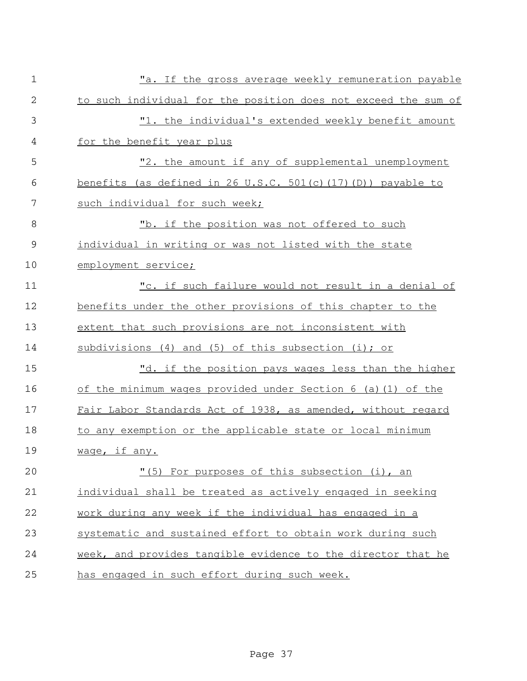| $\mathbf{1}$ | <u>"a. If the gross average weekly remuneration payable</u>     |
|--------------|-----------------------------------------------------------------|
| $\mathbf{2}$ | to such individual for the position does not exceed the sum of  |
| 3            | "1. the individual's extended weekly benefit amount             |
| 4            | for the benefit year plus                                       |
| 5            | "2. the amount if any of supplemental unemployment              |
| 6            | benefits (as defined in 26 U.S.C. $501(c)$ (17) (D)) payable to |
| 7            | such individual for such week;                                  |
| 8            | "b. if the position was not offered to such                     |
| $\mathsf 9$  | individual in writing or was not listed with the state          |
| 10           | employment service;                                             |
| 11           | <u>"c. if such failure would not result in a denial of</u>      |
| 12           | benefits under the other provisions of this chapter to the      |
| 13           | extent that such provisions are not inconsistent with           |
| 14           | subdivisions (4) and (5) of this subsection (i); or             |
| 15           | "d. if the position pays wages less than the higher             |
| 16           | of the minimum wages provided under Section 6 (a) (1) of the    |
| 17           | Fair Labor Standards Act of 1938, as amended, without regard    |
| 18           | to any exemption or the applicable state or local minimum       |
| 19           | wage, if any.                                                   |
| 20           | "(5) For purposes of this subsection (i), an                    |
| 21           | individual shall be treated as actively engaged in seeking      |
| 22           | work during any week if the individual has engaged in a         |
| 23           | systematic and sustained effort to obtain work during such      |
| 24           | week, and provides tangible evidence to the director that he    |
| 25           | has engaged in such effort during such week.                    |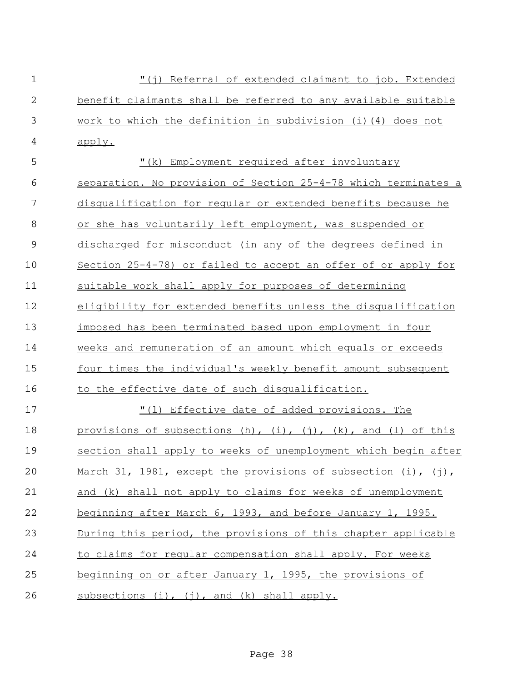| $\mathbf 1$    | "(j) Referral of extended claimant to job. Extended                         |
|----------------|-----------------------------------------------------------------------------|
| $\overline{2}$ | benefit claimants shall be referred to any available suitable               |
| 3              | work to which the definition in subdivision (i) (4) does not                |
| 4              | apply.                                                                      |
| 5              | "(k) Employment required after involuntary                                  |
| 6              | separation. No provision of Section 25-4-78 which terminates a              |
| 7              | disqualification for reqular or extended benefits because he                |
| 8              | or she has voluntarily left employment, was suspended or                    |
| 9              | discharged for misconduct (in any of the degrees defined in                 |
| 10             | Section 25-4-78) or failed to accept an offer of or apply for               |
| 11             | suitable work shall apply for purposes of determining                       |
| 12             | eligibility for extended benefits unless the disqualification               |
| 13             | imposed has been terminated based upon employment in four                   |
| 14             | weeks and remuneration of an amount which equals or exceeds                 |
| 15             | four times the individual's weekly benefit amount subsequent                |
| 16             | to the effective date of such disqualification.                             |
| 17             | "(1) Effective date of added provisions. The                                |
| 18             | provisions of subsections $(h)$ , $(i)$ , $(j)$ , $(k)$ , and $(l)$ of this |
| 19             | section shall apply to weeks of unemployment which begin after              |
| 20             | March 31, 1981, except the provisions of subsection (i), (j),               |
| 21             | and (k) shall not apply to claims for weeks of unemployment                 |
| 22             | beginning after March 6, 1993, and before January 1, 1995.                  |
| 23             | During this period, the provisions of this chapter applicable               |
| 24             | to claims for reqular compensation shall apply. For weeks                   |
| 25             | beginning on or after January 1, 1995, the provisions of                    |
| 26             | subsections (i), (j), and (k) shall apply.                                  |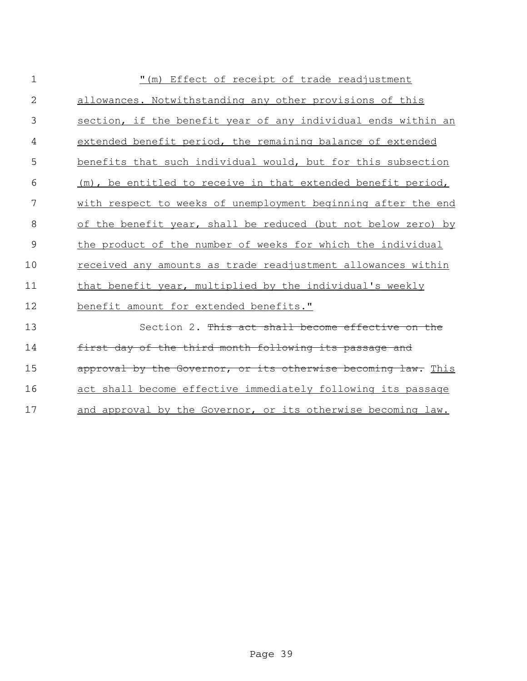| $\mathbf{1}$   | "(m) Effect of receipt of trade readjustment                  |
|----------------|---------------------------------------------------------------|
| $\overline{2}$ | allowances. Notwithstanding any other provisions of this      |
| 3              | section, if the benefit year of any individual ends within an |
| 4              | extended benefit period, the remaining balance of extended    |
| 5              | benefits that such individual would, but for this subsection  |
| 6              | (m), be entitled to receive in that extended benefit period,  |
| 7              | with respect to weeks of unemployment beginning after the end |
| 8              | of the benefit year, shall be reduced (but not below zero) by |
| 9              | the product of the number of weeks for which the individual   |
| 10             | received any amounts as trade readjustment allowances within  |
| 11             | that benefit year, multiplied by the individual's weekly      |
| 12             | benefit amount for extended benefits."                        |
| 13             | Section 2. This act shall become effective on the             |
| 14             | first day of the third month following its passage and        |
| 15             | approval by the Governor, or its otherwise becoming law. This |
| 16             | act shall become effective immediately following its passage  |
| 17             | and approval by the Governor, or its otherwise becoming law.  |